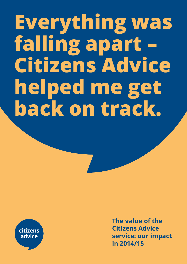# **Everything was falling apart – Citizens Advice helped me get back on track.**



**The value of the Citizens Advice service: our impact in 2014/15**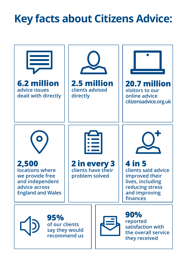## **Key facts about Citizens Advice:**

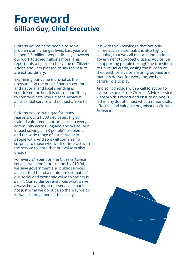## **Foreword Gillian Guy, Chief Executive**

Citizens Advice helps people to solve problems and changes lives. Last year we helped 2.5 million people directly, however our work touched millions more. This report puts a figure on the value of Citizens Advice and I am pleased to say the results are extraordinary.

Examining our value is crucial as the pressures on the public finances continue, and national and local spending is scrutinised further. It is our responsibility to communicate why Citizens Advice is an essential service and not just a 'nice to have'

Citizens Advice is unique for many reasons: our 21,600 dedicated, highly trained volunteers; our presence in every community across England and Wales; our impact solving 2 in 3 people's problems; and the wide range of issues we help people with. And so it will come as no surprise to those who work or interact with the service to learn that our value is also unique.

For every £1 spent on the Citizens Advice service, we benefit our clients by £10.94, we save government and public services at least £1.51, and a minimum estimate of our social and economic value to society is £8.74. Our evidence reinforces what we've always known about our service – that it is not just what we do but also the way we do it that is of huge benefit to society.

It is with this knowledge that not only is free advice essential, it is also highly valuable, that we call on local and national government to protect Citizens Advice. Be it supporting people through the transition to universal credit, easing the burden on the health service or ensuring policies and markets deliver for everyone, we have a central role to play.

And so I conclude with a call to action to everyone across the Citizens Advice service – absorb this report and ensure no one is left in any doubt of just what a remarkable, effective and valuable organisation Citizens Advice is.

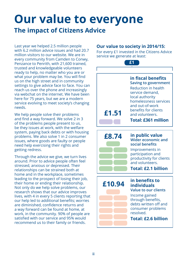## **Our value to everyone The impact of Citizens Advice**

Last year we helped 2.5 million people with 6.2 million advice issues and had 20.7 million visitors to our website. We are in every community from Camden to Conwy, Penzance to Penrith, with 21,600 trained, trusted and knowledgeable volunteers ready to help, no matter who you are or what your problem may be. You will find us on the high street and in community settings to give advice face to face. You can reach us over the phone and increasingly via webchat on the internet. We have been here for 75 years, but we are a modern service evolving to meet society's changing needs.

We help people solve their problems and find a way forward. We solve 2 in 3 of the problems people present to us, be they issues at work, with the welfare system, paying back debts or with housing problems. We also solve 1 in 2 consumer issues, where goods are faulty or people need help exercising their rights and getting redress.

Through the advice we give, we turn lives around. Prior to advice people often feel stressed, anxious or depressed. Their relationships can be strained both at home and in the workplace, sometimes leading to the prospect of losing their job, their home or ending their relationship. Not only do we help solve problems, our research shows that our advice improves lives, with 4 in every 5 clients reporting that our help led to additional benefits; worries are diminished, confidence returns and a way forward can be found at home, at work, in the community. 90% of people are satisfied with our service and 95% would recommend us to their family or friends.

### **Our value to society in 2014/15:**

For every £1 invested in the Citizens Advice service we generate at least:

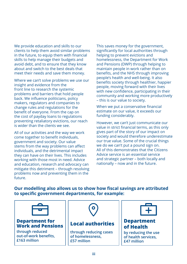We provide education and skills to our clients to help them avoid similar problems in the future, to equip them with financial skills to help manage their budgets and avoid debt, and to ensure that they know about and switch to the best deals that meet their needs and save them money.

Where we can't solve problems we use our insight and evidence from the front line to research the systemic problems and barriers that hold people back. We influence politicians, policy makers, regulators and companies to change rules and regulations for the benefit of everyone. From the cap on the cost of payday loans to regulations preventing retaliatory evictions, our reach is wider than the clients we see.

All of our activities and the way we work come together to benefit individuals, government and society. Our value stems from the way problems can affect individuals, and the detrimental impact they can have on their lives. This includes working with those most in need. Advice and education, research and advocacy can mitigate this detriment – through resolving problems now and preventing them in the future.

This saves money for the government, significantly for local authorities through helping to prevent evictions and homelessness, the Department for Work and Pensions (DWP) through helping to maintain people in work rather than on benefits, and the NHS through improving people's health and well-being. It also benefits society through healthier, happier people, moving forward with their lives with new confidence, participating in their community and working more productively – this is our value to society.

When we put a conservative financial estimate on our value, it exceeds our funding considerably.

However, we can't just communicate our value in strict financial terms, as this only gives part of the story of our impact on society and would therefore underestimate our true value. Some of the crucial things we do we can't put a pound sign on. All of this demonstrates that the Citizens Advice service is an essential service and strategic partner – both locally and nationally – now and in the future.

**Our modelling also allows us to show how fiscal savings are attributed to specific government departments, for example:**

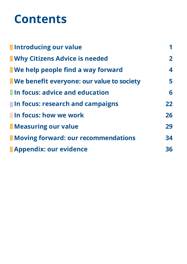## **Contents**

| Introducing our value                            | 1              |
|--------------------------------------------------|----------------|
| <b>No Why Citizens Advice is needed</b>          | $\overline{2}$ |
| <b>Notaker We help people find a way forward</b> | 4              |
| We benefit everyone: our value to society        | 5              |
| <b>In focus: advice and education</b>            | 6              |
| In focus: research and campaigns                 | 22             |
| In focus: how we work                            | 26             |
| Measuring our value                              | 29             |
| Moving forward: our recommendations              | 34             |
| <b>Appendix: our evidence</b>                    | 36             |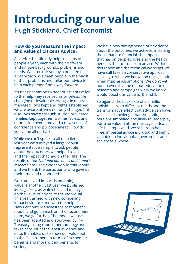## **Introducing our value Hugh Stickland, Chief Economist**

#### **How do you measure the impact and value of Citizens Advice?**

A service that directly helps millions of people a year, each with their different and unique backgrounds, problems and needs. We aren't driven by a one size fits all approach. We meet people in the midst of their problems and tailor our advice to help each person find a way forward.

It's not uncommon to hear our clients refer to the help they received as priceless, life changing or invaluable. Alongside debts managed, jobs kept and rights established, we are aware of lives not only changed but also lives saved through suicide prevented, families kept together, worries, stress and depression overcome and a new sense of confidence and purpose ahead. How do you value all of that?

While we can't speak to all our clients, last year we surveyed a large, robust representative sample to ask people about the outcomes we helped to achieve and the impact that had on their life. The results of our *National outcomes and impact research* are used extensively in this report, and we thank the participants who gave us their time and responded.

Outcomes and impact is one thing – value is another. Last year we published *Making the case*, which focused mainly on the value of advice to the individual. This year, armed with new compelling impact evidence and with the help of New Economy Manchester's cost benefit model and guidance from their economics team, we go further. The model we use has been adapted and approved by HM Treasury, using robust methodology and takes account of the latest evidence and data. It enables us to show our value both to the Government in terms of exchequer benefits and more widely benefits to society.

We have now strengthened our evidence about the outcomes we achieve, including those that are financial, the impacts that has on people's lives and the health benefits that accrue from advice. Within this report and the technical workings, we have still taken a conservative approach, sticking to what we know and using caution when making assumptions. We don't yet put an overall value on our education or research and campaigns work we know would boost our value further still.

So against the backdrop of 2.5 million individuals with different needs and the transformative effect that advice can have, we still acknowledge that the findings here are simplified and likely to underplay our true value. But the message is clear. Life is complicated, we're here to help. Free, impartial advice is crucial and highly valuable to individuals, government and society as a whole.

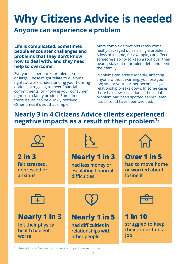## **Why Citizens Advice is needed**

## **Anyone can experience a problem**

**Life is complicated. Sometimes people encounter challenges and problems that they don't know how to deal with, and they need help to overcome.** 

Everyone experiences problems, small or large. These might relate to querying rights at work, understanding your housing options, struggling to meet financial commitments, or knowing your consumer rights on a faulty product. Sometimes these issues can be quickly resolved. Other times it's not that simple.

More complex situations rarely come neatly packaged up as a single problem. A loss of income, for example, can affect someone's ability to keep a roof over their heads, stay out of problem debt and feed their family.

Problems can arise suddenly, affecting anyone without warning: you lose your job; you or your partner becomes ill; a relationship breaks down. In some cases there is a slow escalation: if the initial problem had been spotted earlier, later issues could have been avoided.

## **Nearly 3 in 4 Citizens Advice clients experienced negative impacts as a result of their problem1 :**



1 Citizens Advice. National outcomes and impact research, 2014.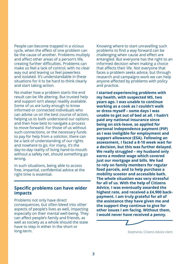People can become trapped in a vicious cycle, when the effect of one problem can be the cause of another. Problems multiply and affect other areas of a person's life, creating further difficulties. Problems can make us feel a lack of control, with no clear way out and leaving us feel powerless and isolated. It's understandable in these situations for it to be hard to think clearly and start taking action.

No matter how a problem starts the end result can be life altering. But trusted help and support isn't always readily available. Some of us are lucky enough to know informed or connected individuals who can advise us on the best course of action, helping us to both understand our options and then how best to navigate a process to move forward. For those of us without such connections, or the necessary funds to pay for help from a solicitor, there can be a lack of understanding of our rights and nowhere to go. For many, it's the day-to-day reality of living hand-to-mouth without a safety net, should something go wrong.

In such situations, being able to access free, impartial, confidential advice at the right time is essential.

#### **Specific problems can have wider impacts**

Problems not only have direct consequences, but often bleed into other aspects of people's lives as well, impacting especially on their mental well-being. They can affect people's family and friends, as well as society as a whole should the state have to step in either in the short or long-term.

Knowing where to start unravelling such problems to find a way forward can be challenging when cause and effect are entangled. But everyone has the right to an informed decision when making a choice that affects their life. Not everyone that faces a problem seeks advice, but through research and campaigns work we can help anyone affected by problems with policy and practice.

**I started experiencing problems with my health, with suspected MS, two years ago. I was unable to continue working as a cook as I couldn't walk or dress myself – some days I was unable to get out of bed at all. I hadn't paid any national insurance since being on sick-leave, so applied for personal independence payment (PIP) as I was ineligible for employment and support allowance (ESA). Following an assessment, I faced a 8-10 week wait for a decision, but this was further delayed. We really struggled – my husband only earns a modest wage which covered just our mortgage and bills. We had to rely on family members for regular food parcels, and to help purchase a mobility scooter and accessible bath. The whole situation was very stressful for all of us. With the help of Citizens Advice, I was eventually awarded the highest rate, and received a £4,900 backpayment. I am truly grateful for all of the assistance they have given me and the support they continue to give for other issues I am facing. Without them, I would never have received a penny.**

Stephanie, Citizens Advice client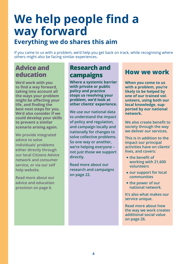## **We help people find a way forward**

## **Everything we do shares this aim**

If you came to us with a problem, we'd help you get back on track, while recognising where others might also be facing similar experiences.

## **Advice and education**

**We'd work with you to find a way forward, taking into account all the ways your problem might be affecting your life, and finding the best next steps for you. We'd also consider if we could develop your skills to prevent a similar scenario arising again.** 

**We provide integrated advice to solve individuals' problems either directly through our local Citizens Advice network and consumer service, or via our self help website.**

**Read more about our advice and education provision on page 6.**

## **Research and campaigns**

**Where a systemic barrier with private or public policy and practice stops us resolving your problem, we'd look at other clients' experience.** 

**We use our national data to understand the impact of policy and regulation, and campaign locally and nationally for changes to solve collective problems. So one way or another, we're helping everyone – not just those we support directly.** 

**Read more about our research and campaigns on page 22.**

## **How we work**

**When you come to us with a problem, you're likely to be helped by one of our trained volunteers, using both our local knowledge, supported by our national network.** 

**We also create benefit to society through the way we deliver our services.** 

**This is in addition to the impact our principal activities have on clients' lives, and covers:**

- **the benefit of working with 21,600 volunteers**
- **our support for local communities**
- **the power of our national network.**

**It's also what makes our service unique.** 

**Read more about how the way we work creates additional social value on page 26.**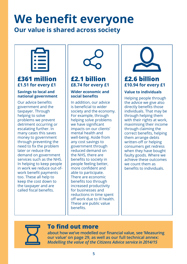# **We benefit everyone**

## **Our value is shared across society**



## **£361 million £1.51 for every £1**

### **Savings to local and national government**

Our advice benefits government and the taxpayer. Through helping to solve problems we prevent detriment occurring or escalating further. In many cases this saves money to government through preventing the need to fix the problem later or reduce the demand on government services such as the NHS. In helping to keep people in work we reduce out-ofwork benefit payments too. These all help to keep the cost down to the taxpayer and are called fiscal benefits.



## **£2.1 billion £8.74 for every £1**

#### **Wider economic and social benefits**

In addition, our advice is beneficial to wider society and the economy. For example, through helping solve problems we have significant impacts on our clients' mental health and well-being. Aside from any cost savings to government through reduced demand on the NHS, there are benefits to society in people feeling better, more confident and able to participate. There are economic benefits too through increased productivity for businesses and reductions in time spent off work due to ill health. These are public value benefits.



## **£2.6 billion £10.94 for every £1**

### **Value to individuals**

Helping people through the advice we give also directly benefits those individuals. That may be through helping them with their rights at work, maximising their income through claiming the correct benefits, helping them arrange debts written-off or helping consumers get redress when they have bought faulty goods. Where we achieve these outcomes we count them as benefits to individuals.



## **To find out more**

**about how we've modelled our financial value, see 'Measuring our value' on page 29, as well as our full technical annex:**  *Modelling the value of the Citizens Advice service in 2014/15*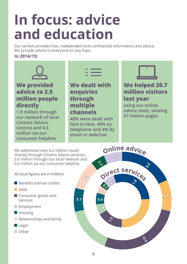# **In focus: advice and education**

Our service provides free, independent and confidential information and advice. We provide advice to everyone on any topic.

### **In 2014/15:**



## **We provided advice to 2.5 million people directly**

**1.9 million through our network of local Citizens Advice centres and 0.6 million via our consumer helpline**

**We dealt with enquiries through multiple channels**

**48% were dealt with face to face, 48% by telephone and 4% by email or webchat**



## **We helped 20.7 million visitors last year**

**using our online advice tools, viewing 47 million pages**

We addressed over 6.2 million issues directly through Citizens Advice services; 5.6 million through our local network and 0.6 million via our consumer helpline.

All issue figures are in millions:

- **Benefits and tax credits**
- Debt
- **Consumer goods and** services
- **Employment**
- **Housing**
- Relationships and family
- $\blacksquare$  Legal
- **n**Other

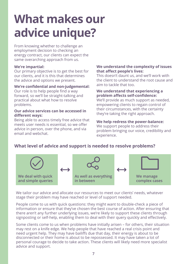## **What makes our advice unique?**

From knowing whether to challenge an employment decision to checking an energy contract, our clients can expect the same overarching approach from us.

#### **We're impartial:**

Our primary objective is to get the best for our clients, and it is this that determines the advice and options we present.

#### **We're confidential and non-judgemental:**

Our role is to help people find a way forward, so we'll be straight-talking and practical about what how to resolve problems.

#### **Our advice services can be accessed in different ways:**

Being able to access timely free advice that meets user needs is essential, so we offer advice in person, over the phone, and via email and webchat.

#### **We understand the complexity of issues that affect people's lives:**

This doesn't daunt us, and we'll work with the client to understand the root cause and aim to tackle that too.

#### **We understand that experiencing a problem affects self-confidence:**

We'll provide as much support as needed, empowering clients to regain control of their circumstances, with the certainty they're taking the right approach.

#### **We help redress the power-balance:**

We support people to address their problem bringing our voice, credibility and experience.

## **What level of advice and support is needed to resolve problems?**



We tailor our advice and allocate our resources to meet our clients' needs, whatever stage their problem may have reached or level of support needed.

People come to us with quick questions: they might want to double-check a piece of information or ensure that they've chosen the best course of action. After ensuring that there aren't any further underlying issues, we're likely to support these clients through signposting or self-help, enabling them to deal with their query quickly and effectively.

Some clients come to us when problems have initially arisen – for others, their situation may rest on a knife edge. We help people that have reached a real crisis point and need urgent help. They may have bailiffs due that day, their energy is about to be disconnected or their home is about to be repossessed. It may have taken a lot of personal courage to decide to take action. These clients will likely need more specialist advice and support.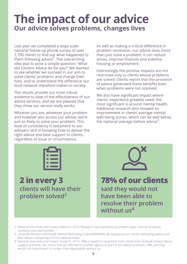## **The impact of our advice Our advice solves problems, changes lives**

Last year we completed a large scale national follow-up phone survey of over 2,700 clients to find out what happened to them following advice<sup>2</sup>. The overarching idea was to pose a simple question: 'What did Citizens Advice do for you?' We wanted to see whether we succeed in our aim to solve clients' problems and change their lives, and to understand the difference our local network therefore makes to society.

The results provide our most robust evidence to date of the effectiveness of our advice services, and we are pleased that they show our service really works.

Whoever you are, whatever your problem and however you access our advice, we're just as likely to solve your problem. This level of consistency is testament to our advisers' skill in knowing how to deliver the right advice and best support to clients, regardless of issue or circumstance.

As well as making a critical difference in problem resolution, our advice does more than just solve a problem: it can reduce stress, improve finances and stabilise housing or employment.

Interestingly the positive impacts are not restricted only to clients whose problems are solved: clients report that the provision of advice generated these benefits even when problems were not resolved.

We also have significant impact where clients' experience greatest need: the most significant is around mental health. Additional research also showed an improvement in clients' average mental well-being scores, which can be well below the national average before advice<sup>3</sup>.



**2 in every 3 clients will have their problem solved2**



**78% of our clients said they would not have been able to resolve their problem without us4**

- 2 National outcomes and impact research, 2014: Research representative by problem type, channel of advice, worklevel and client profile.
- 3 Using the Warwick-Edinburgh Mental Well-being Scale (WEMWBS), we measured our clients' well-being before and after advice, comparing it to the national mean.
- 4 National outcomes and impact research, 2014: 78% is based on responses from clients that received Citizens Advice support primarily. For clients that we referred to another agency as part of our advice provision, 70% said they would not have known to contact that organisation without us.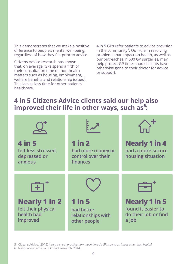This demonstrates that we make a positive difference to people's mental well-being, regardless of how they felt prior to advice.

Citizens Advice research has shown that, on average, GPs spend a fifth of their consultation time on non-health matters such as housing, employment, welfare benefits and relationship issues<sup>5</sup> . This leaves less time for other patients' healthcare.

4 in 5 GPs refer patients to advice provision in the community<sup>5</sup>. Our role in resolving problems that impact on health, as well as our outreaches in 600 GP surgeries, may help protect GP time, should clients have otherwise gone to their doctor for advice or support.

## **4 in 5 Citizens Advice clients said our help also improved their life in other ways, such as<sup>6</sup> :**



5 Citizens Advice. (2015) *A very general practice: how much time do GPs spend on issues other than health?*

6 National outcomes and impact research, 2014.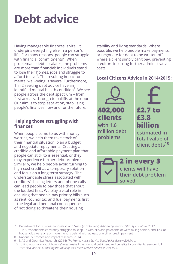## **Debt advice**

Having manageable finances is vital: it underpins everything else in a person's life. For many reasons, people can struggle with financial commitments<sup>7</sup>. When problematic debt escalates, the problems are more than financial: individuals stand to lose their homes, jobs and struggle to afford to live<sup>8</sup>. The resulting impact on mental well-being is severe. Furthermore, 1 in 2 seeking debt advice have an identified mental health condition<sup>9</sup>. We see people across the debt spectrum – from first arrears, through to bailiffs at the door. Our aim is to stop escalation, stabilising people's finances now and for the future.

### **Helping those struggling with finances**

When people come to us with money worries, we help them take stock of their financial situation, plan a budget and negotiate repayments. Creating a credible and affordable payment plan that people can stick to is essential, or they may experience further debt problems. Similarly, we help people avoid turning to high-cost credit as a temporary solution and focus on a long term strategy. The understandable stress associated with creditors' chasing letters and phone-calls can lead people to pay those that shout the loudest first. We play a vital role in ensuring that people pay priority bills such as rent, council tax and fuel payments first – the legal and personal consequences of not doing so threatens their housing

stability and living standards. Where possible, we help people make payments, or negotiate for debt to be written-off where a client simply can't pay, preventing creditors incurring further administrative costs.

## **Local Citizens Advice in 2014/2015:**



- 8 National outcomes and impact research. 2014.
- 9 MAS and Optimisa Research. (2014) *The Money Advice Service Debt Advice Review 2013/14.*
- 10 To find out more about how we've estimated the financial detriment and benefits to our clients, see our full technical annex: *Modelling the value of the Citizens Advice service in 2014/15.*

<sup>7</sup> Department for Business Innovation and Skills. (2013) *Credit, debt and financial difficulty in Britain*, 2012. 1 in 5 respondents constantly struggled to keep up with bills and payments or were falling behind, and 12% of households were one or more months behind with at least one bill or credit payment.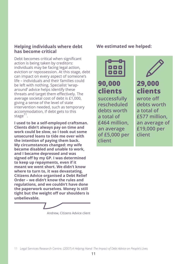### **Helping individuals where debt has become critical**

Debt becomes critical when significant action is being taken by creditors: individuals may be facing legal action, eviction or repossession. At this stage, debt can impact on every aspect of someone's life – individuals and their families could be left with nothing. Specialist 'wraparound' advice helps identify these threats and target them effectively. The average societal cost of debt is £1,000, giving a sense of the level of state intervention needed, such as temporary accommodation, if debt gets to this stage $^{11}$ .

**I used to be a self-employed craftsman. Clients didn't always pay on time and work could be slow, so I took out some unsecured loans to tide me over with the intention of paying them back. My circumstances changed: my wife became disabled and unable to work, and I became depressed and was signed off by my GP. I was determined to keep up repayments, even if it meant we went short. We didn't know where to turn to, it was devastating. Citizens Advice organised a Debt Relief Order – we didn't know the rules and regulations, and we couldn't have done the paperwork ourselves. Money is still tight but the weight off our shoulders is unbelievable.**

Andrew, Citizens Advice client

### **We estimated we helped:**



**90,000 clients successfully rescheduled debts worth a total of £464 million, an average of £5,000 per client**



**29,000 clients**

**wrote off debts worth a total of £577 million, an average of £19,000 per client**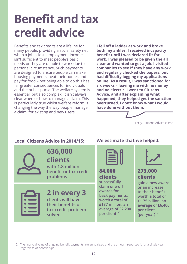## **Benefit and tax credit advice**

Benefits and tax credits are a lifeline for many people, providing a social safety net when a job is lost, employment income isn't sufficient to meet people's basic needs or they are unable to work due to personal circumstance. Such payments are designed to ensure people can make housing payments, heat their homes and pay for food – not being able to do this has far greater consequences for individuals and the public purse. The welfare system is essential, but also complex: it isn't always clear when or how to manage a claim. This is particularly true whilst welfare reform is changing the way the way people manage a claim, for existing and new users.

**I fell off a ladder at work and broke both my ankles. I received incapacity benefit until I was declared fit for work. I was pleased to be given the all clear and wanted to get a job. I visited companies to see if they have any work and regularly checked the papers, but had difficulty logging my applications online. As a result, I was sanctioned for six weeks – leaving me with no money and no electric. I went to Citizens Advice, and after explaining what happened, they helped get the sanction overturned. I don't know what I would have done without them.**



```
Terry, Citizens Advice client
```


## **636,000**

**clients with 1.8 million benefit or tax credit problems**

**2 in every 3 clients will have their benefits or tax credit problem solved**

### **Local Citizens Advice in 2014/15: We estimate that we helped:**



**84,000 clients successfully claim one-off awards for back payments, worth a total of £187 million, an average of £2,200 per client**<sup>12</sup>



## **273,000 clients**

**gain a new award or an increase to their benefit worth a total of £1.75 billion, an average of £6,400 per client (per year)**<sup>12</sup>

12 The financial value of ongoing benefit payments are annualised and the amount reported is for a single year regardless of benefit type.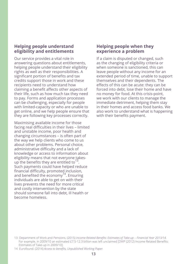### **Helping people understand eligibility and entitlements**

Our service provides a vital role in answering questions about entitlements, helping people understand their eligibility rights as well as their responsibilities. A significant portion of benefits and tax credits support those in work and these recipients need to understand how claiming a benefit affects other aspects of their life, such as how much tax they need to pay. Forms and application processes can be challenging, especially for people with limited-capacity or who are unable to get online, and we help people ensure that they are following key processes correctly.

Maximising available income for those facing real difficulties in their lives – limited and unstable income, poor health and changing circumstances – is often part of the way we help clients who come to us about other problems. Personal choice, administrative difficulty and a lack of knowledge or access to information about eligibility means that not everyone takesup the benefits they are entitled to<sup>13</sup>. Such payments could have helped reduce financial difficulty, promoted inclusion, and benefited the economy<sup>14</sup>. Ensuring individuals are able to get on with their lives prevents the need for more critical and costly intervention by the state should someone fall into debt, ill health or become homeless.

### **Helping people when they experience a problem**

If a claim is disputed or changed, such as the changing of eligibility criteria or when someone is sanctioned, this can leave people without any income for an extended period of time, unable to support themselves and their dependents. The effects of this can be acute: they can be forced into debt, lose their home and have no money for food. At this crisis-point, we work with our clients to manage the immediate detriment, helping them stay in their homes and access food banks. We also work to understand what is happening with their benefits payment.

<sup>13</sup> Department of Work and Pensions. (2015) *Income-Related Benefits: Estimates of Take-up – Financial Year 2013/14*. For example, in 2009/10 an estimated £7.5-12.3 billion was left unclaimed [DWP (2012) Income Related Benefits: Estimates of Take-up in 2009/10].

<sup>14</sup> Eurofound. (2014) *Access to benefits, Unpublished Working Paper.*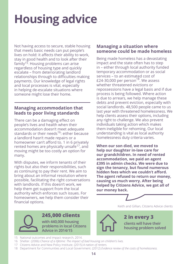## **Housing advice**

Not having access to secure, stable housing that meets basic needs can put people's lives on hold: it affects their ability to work, stay in good health and to look after their family15. Housing problems can arise regardless of housing type and quickly escalate – from deteriorating landlord relationships through to difficulties making payments. Our knowledge of legal rights and local processes is vital, especially in helping de-escalate situations where someone might lose their home.

## **Managing accommodation that leads to poor living standards**

There can be a damaging effect on people's lives and health when their accommodation doesn't meet adequate standards or their needs<sup>16</sup>: either because a landlord hasn't made repairs or a homeowner can't afford to. 1 in 6 privately rented homes are physically unsafe<sup>17</sup>, and moving might be too costly an option for many.

With disputes, we inform tenants of their rights but also their responsibilities, such as continuing to pay their rent. We aim to bring about an informal resolution where possible, facilitating the right conversations with landlords. If this doesn't work, we help them get support from the local authority which enforces such issues. For homeowners, we help them consider their financial options.

### **Managing a situation where someone could be made homeless**

Being made homeless has a devastating impact and the state often has to step in – either through local authority funded temporary accommodation or as social services – to an estimated cost of £24-30,000 per person<sup>18</sup>. We assess whether threatened evictions or repossessions have a legal basis and if due process is being followed. Where action is due to arrears, we help manage these debts and prevent eviction, especially with social landlords. 48,500 people came to us last year with threatened homelessness. We help clients assess their options, including any right to challenge. We also prevent individuals taking action which makes them ineligible for rehoming. Our local understanding is vital as local authority homelessness duty criteria varies.

**When our son died, we moved to help our daughter in-law care for our grandchildren. In need of rented accommodation, we paid an agent £395 in admin checks. We were due to sign the tenancy, but found numerous hidden fees which we couldn't afford. The agent refused to return our money, causing us much worry. After being helped by Citizens Advice, we got all of our money back.**



Keith and Gillian, Citizens Advice clients

**2 in every 3**

**clients will have their housing problem solved**



**245,000 clients with 440,000 housing problems in local Citizens Advice in 2014/15**

- 15 National outcomes and impact research, 2014.
- 16 Shelter. (2006) *Chance of a lifetime: The impact of bad housing on children's lives.*
- 17 Citizens Advice and New Policy Institute. (2015) *A nation of renters.*
- 18 Department for Communities and Local Government. (2012) *Evidence review of the costs of homelessness.*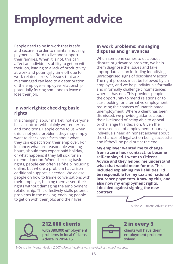## **Employment advice**

People need to be in work that is safe and secure in order to maintain housing payments, afford to live and support their families. When it is not, this can affect an individual's ability to get on with their job, leading to a lack of productivity at work and potentially time off due to work-related stress<sup>19</sup>. Issues that are mismanaged can lead to a deterioration of the employer-employee relationship, potentially forcing someone to leave or lose their job.

### **In work rights: checking basic rights**

In a changing labour market, not everyone has a contract with plainly written terms and conditions. People come to us when this is not yet a problem: they may simply want to check basic facts about what they can expect from their employer. For instance: what are reasonable working hours, should they expect paid holiday, or what happens if they fall sick for an extended period. When checking basic rights, people can often self-help including online, but where a problem has arisen additional support is needed. We advise people on how to frame conversations with their employer, helping them assert their rights without damaging the employment relationship. This effectively stalls potential problems in the making, enabling people to get on with their jobs and their lives.

### **In work problems: managing disputes and grievances**

When someone comes to us about a dispute or grievance problem, we help them diagnose the issues and take appropriate action including identifying unrecognised signs of disciplinary action. The right process must be followed by an employer, and we help individuals formally and informally challenge circumstances where it has not. This provides people the opportunity to mend relations or to start looking for alternative employment, reducing the chances of unanticipated unemployment. Where a client has been dismissed, we provide guidance about their likelihood of being able to appeal or challenge this decision. Given the increased cost of employment tribunals, individuals need an honest answer about the chances of legal action being successful and if they'll be paid out at the end.

**My employer wanted me to change from a zero-hour contract, to become self-employed. I went to Citizens Advice and they helped me understand what that would mean for me. This included explaining my liabilities: I'd be responsible for my tax and national insurance payments. Knowing this, and also now my employment rights, I decided against signing the new contract.**



## **212,000 clients**

**with 380,000 employment problems in local Citizens Advice in 2014/15**



#### **2 in every 3 clients will have their employment problem solved**

19 Centre for Mental Health. (2007) *Mental health at work: developing the business case.*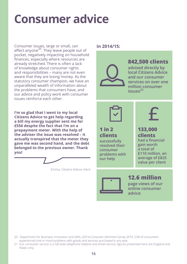## **Consumer advice**

Consumer issues, large or small, can affect anyone<sup>20</sup>. They leave people out of pocket, negatively impacting on household finances, especially where resources are already stretched. There is often a lack of knowledge about consumer rights and responsibilities – many are not even aware that they are losing money. As the statutory consumer champion, we have an unparalleled wealth of information about the problems that consumers have, and our advice and policy work with consumer issues reinforce each other.

**I'm so glad that I went to my local Citizens Advice to get help regarding a bill my energy supplier sent me for £556 despite the fact that I'm on a prepayment meter. With the help of the adviser the issue was resolved – it actually transpired that the meter they gave me was second hand, and the debt belonged to the previous owner. Thank you!**

Emma, Citizens Advice client

## **In 2014/15:**



## **842,500 clients**

**advised directly by local Citizens Advice and our consumer services on over one million consumer issues21**



#### **1 in 2 clients successfully resolved their consumer problems with**

**our help**

## **133,000 clients**

**had a financial gain worth a total of £110 million, an average of £825 value per client**

## **12.6 million**

**page views of our online consumer advice**

- 20 Department for Business, Innovation and Skills. (2014) *Consumer Detriment Survey 2014:* 22% of consumers experienced one or more problems with goods and services purchased in any year*.*
- 21 Our consumer service is a GB wide telephone helpline and email service, figures presented here are England and Wales only.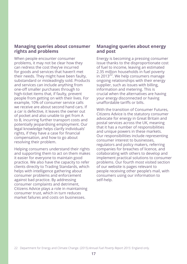### **Managing queries about consumer rights and problems**

When people encounter consumer problems, it may not be clear how they can redress the cost they've incurred for goods and services that haven't met their needs. They might have been faulty, substandard or misleadingly sold. Products and services can include anything from one-off smaller purchases through to high-ticket items that, if faulty, prevent people from getting on with their lives. For example, 10% of consumer service calls we receive are about second hand cars. If a car is defective, it leaves the owner out of pocket and also unable to get from A to B, incurring further transport costs and potentially jeopardising employment. Our legal knowledge helps clarify individuals' rights, if they have a case for financial compensation, and how to go about resolving their problem.

Helping consumers understand their rights and supporting them to act on them makes it easier for everyone to maintain good practice. We also have the capacity to refer clients directly to Trading Standards, which helps with intelligence gathering about consumer problems and enforcement against bad practice. By addressing consumer complaints and detriment, Citizens Advice plays a role in maintaining consumer trust, which in turn reduces market failures and costs on businesses.

#### **Managing queries about energy and post**

Energy is becoming a pressing consumer issue thanks to the disproportionate cost of fuel to income, leaving an estimated 2.35 million households in fuel poverty in 2013 $^{22}$ . We help consumers manage ongoing relationships with their energy supplier, such as issues with billing, information and metering. This is crucial when the alternatives are having your energy disconnected or having unaffordable tariffs or bills.

With the transition of Consumer Futures, Citizens Advice is the statutory consumer advocate for energy in Great Britain and postal services across the UK, meaning that it has a number of responsibilities and unique powers in these markets. Our responsibilities include representing consumer interest to businesses, regulators and policy makers, referring companies for breaches of licence, and collaborating with others to develop and implement practical solutions to consumer problems. Our fourth most visited section of our website is pages relevant to people receiving other people's mail, with consumers using our information to self-help.

<sup>22</sup> Department for Energy and Climate Change. (2015) *Annual Fuel Poverty Report 2015:* England only.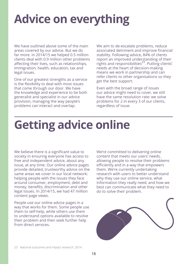## **Advice on everything**

We have outlined above some of the main areas covered by our advice. But we do far more. In 2014/15 we helped 0.5 million clients deal with 0.9 million other problems affecting their lives, such as relationships, immigration, health, education, tax and legal issues.

One of our greatest strengths as a service is the flexibility to deal with most issues that come through our door. We have the knowledge and experience to be both generalist and specialist in our advice provision, managing the way people's problems can interact and overlap.

We aim to de-escalate problems, reduce associated detriment and improve financial stability. Following advice, 84% of clients report an improved understanding of their rights and responsibilities<sup>23</sup>. Putting clients' needs at the heart of decision-making means we work in partnership and can refer clients to other organisations so they get the best support.

Even with the broad range of issues our advice might need to cover, we still have the same resolution rate: we solve problems for 2 in every 3 of our clients, regardless of issue.

## **Getting advice online**

We believe there is a significant value to society in ensuring everyone has access to free and independent advice, about any issue, at any time. Our online advice pages provide detailed, trustworthy advice on the same areas we cover in our local network: helping people with the issues they face around consumer, employment, debt and money, benefits, discrimination and other legal issues. In 2014/15, we had 47 million content page views.

People use our online advice pages in a way that works for them. Some people use them to self-help, while others use them to understand options available to resolve their problem and then seek further help from direct services.

We're committed to delivering online content that meets our users' needs, allowing people to resolve their problems efficiently and in a way that empowers them. We're currently undertaking research with users to better understand why they use our online service, what information they really need, and how we best can communicate what they need to do to solve their problem.

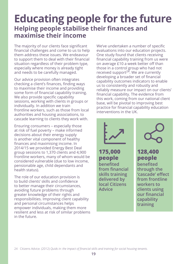## **Educating people for the future Helping people stabilise their finances and maximise their income**

The majority of our clients face significant financial challenges and come to us to help them address these issues. We endeavour to support them to deal with their financial situation regardless of their problem type, especially where money is already tight and needs to be carefully managed.

Our advice provision often integrates checking a client's finances, finding ways to maximise their income and providing some form of financial capability training. We also provide specific capability sessions, working with clients in groups or individually. In addition we train frontline workers, such as those from local authorities and housing associations, to cascade learning to clients they work with.

Ensuring consumers – especially those at risk of fuel poverty – make informed decisions about their energy supply is another vital component of healthy finances and maximising income. In 2014/15 we provided Energy Best Deal group sessions to 1,370 clients and 4,900 frontline workers, many of whom would be considered vulnerable (due to low income, pensionable age, child dependants and health status).

The role of our education provision is to build clients' skills and confidence to better manage their circumstances, avoiding future problems through greater knowledge of their rights and responsibilities. Improving client capability and personal circumstances helps empower individuals, making them more resilient and less at risk of similar problems in the future.

We've undertaken a number of specific evaluations into our education projects. One study found that clients receiving financial capability training from us were on average £10 a week better off than those in a control group who had not received support $24$ . We are currently developing a broader set of financial capability outcomes indicators to enable us to consistently and robustly and reliably measure our impact on our clients' financial capability. The evidence from this work, coming from our national client base, will be pivotal to improving best practice for financial capability education interventions in the UK.

**175,000 people benefited from financial skills training delivered by local Citizens Advice benefited** 



**128,400 people**

**through the 'cascade' effect from frontline workers to clients using our financial capability training**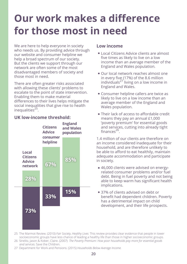## **Our work makes a difference for those most in need**

We are here to help everyone in society who needs us. By providing advice through our website and consumer helpline we help a broad spectrum of our society. But the clients we support through our network are often some of the most disadvantaged members of society and those most in need.

There are often greater risks associated with allowing these clients' problems to escalate to the point of state intervention. Enabling them to make material differences to their lives helps mitigate the social inequalities that give rise to health inequalities $^{25}$ .

## **UK low-income threshold:**



### **Low income**

- Local Citizens Advice clients are almost five times as likely to live on a low income than an average member of the England and Wales population.
- Our local network reaches almost one in every five (17%) of the 8.6 million  $individuals<sup>27</sup> living on a low income in$ England and Wales.
- Consumer helpline callers are twice as likely to live on a low income than an average member of the England and Wales population.
- Their lack of access to affordable credit means they pay an annual £1,000 'poverty premium' for essential goods and services, cutting into already tight  $f$ inances<sup>26</sup>

1.4 million of our clients are therefore on an income considered inadequate for their household, and are therefore unlikely to be able to afford to eat healthily, maintain adequate accommodation and participate in society.

- 46,000 clients were advised on energyrelated consumer problems and/or fuel debt. Being in fuel poverty and not being able to keep warm has significant health implications.
- 37% of clients advised on debt or benefit had dependent children. Poverty has a detrimental impact on child development, and their life prospects.
- 25 The Marmot Review. (2010) *Fair Society, Healthy Lives*: This review provides clear evidence that people in lower socioeconomic groups have less chance of leading a healthy life than those in higher socioeconomic groups.
- 26 Strelitz, Jason & Kober, Claire. (2007) *The Poverty Premium: How poor households pay more for essential goods and services*. Save the Children.
- 27 Department for Work and Pensions. (2015) *Households Below Average Income.*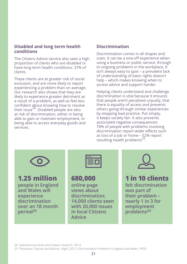### **Disabled and long term health conditions**

The Citizens Advice service also sees a high proportion of clients who are disabled or have long term health conditions: 37% of clients.

These clients are at greater risk of social exclusion, and are more likely to report experiencing a problem than on average. Our research also shows that they are likely to experience greater detriment as a result of a problem, as well as feel less confident about knowing how to resolve their issue $^{28}$ . Disabled people are also at risk of discrimination, either in being able to gain or maintain employment, or being able to access everyday goods and services.

### **Discrimination**

Discrimination comes in all shapes and sizes. It can be a one-off experience when using a business or public service, through to ongoing problems in the workplace. It isn't always easy to spot – a prevalent lack of understanding of basic rights doesn't help – which makes knowing when to access advice and support harder.

Helping clients understand and challenge discrimination is vital because it ensures that people aren't penalised unjustly, that there is equality of access and prevents others going through similar experiences by stopping bad practice. Put simply, it keeps society fair. It also prevents associated negative consequences: 78% of people with problems involving discrimination report wider effects such as loss of a job or home – 52% report resulting health problems<sup>29</sup>.



**1.25 million**

**people in England and Wales will experience discrimination over an 18 month period<sup>25</sup>**

| ٠ |  |
|---|--|
|   |  |

## **680,000**

**online page views about discrimination; 14,000 clients seen with 20,000 issues in local Citizens Advice**



## **1 in 10 clients**

**felt discrimination was part of their problem – nearly 1 in 3 for employment problems24**

28 National outcomes and impact research, 2014.

29 Pleasance, Pascoe and Balmer, Nigel. (2011) *Discrimination Problems in England and Wales.* PPSR.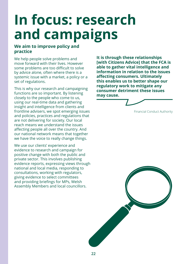# **In focus: research and campaigns**

### **We aim to improve policy and practice**

We help people solve problems and move forward with their lives. However some problems are too difficult to solve by advice alone, often where there is a systemic issue with a market, a policy or a set of regulations.

This is why our research and campaigning functions are so important. By listening closely to the people who come to us, using our real-time data and gathering insight and intelligence from clients and frontline advisers, we spot emerging issues and policies, practices and regulations that are not delivering for society. Our local reach means we understand the issues affecting people all over the country. And our national network means that together we have the voice to really change things.

We use our clients' experience and evidence to research and campaign for positive change with both the public and private sector. This involves publishing evidence reports, expressing views through national and local media, responding to consultations, working with regulators, giving evidence to select committees and providing briefings for MPs, Welsh Assembly Members and local councillors.

**It is through these relationships [with Citizens Advice] that the FCA is able to gather vital intelligence and information in relation to the issues affecting consumers. Ultimately this enables us to better shape our regulatory work to mitigate any consumer detriment these issues may cause.**

Financial Conduct Authority

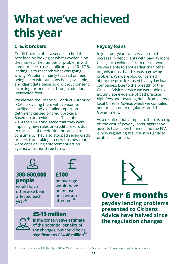## **What we've achieved this year**

## **Credit brokers**

Credit brokers offer a service to find the best loan by looking at what's available on the market. The number of problems with credit brokers rose significantly in 2014/15, leading us to research what was going wrong. Problems mainly focused on fees being taken without loans being available, and client data being sold without consent, incurring further costs through additional unsolicited fees.

We alerted the Financial Conduct Authority (FCA), providing them with consumer intelligence and a detailed report on detriment caused by credit brokers. Based on our evidence, in December 2014 the FCA announced that they were imposing new rules on credit brokers due to the scale of the detriment caused to consumers. They also stopped seven credit brokers from taking on new business and were considering enforcement action against a further three firms.

## **Payday loans**

In just four years we saw a ten-fold increase in debt clients with payday loans. Using such evidence from our network, we were able to spot earlier than other organisations that this was a growing problem. We were also concerned about the practices used by payday loan companies. Due to the breadth of the Citizens Advice service we were able to accumulate evidence of bad practice, high fees and resulting debt, from across local Citizens Advice, which we compiled and presented to regulators and the Government.

As a result of our campaign, there is a cap on the cost of payday loans, aggressive adverts have been banned, and the FCA is now regulating the industry tightly to protect customers.



## **£5-15 million**

**is the conservative estimate of the potential benefits of the changes, but could be as significant as £24-48 million<sup>30</sup>**



**Over 6 months**

**payday lending problems presented to Citizens Advice have halved since the regulation changes**

<sup>30</sup> Financial Conduct Authority. (2015) *CP15/6: Consumer credit – proposed changes to our rules and guidance.*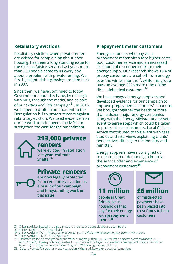## **Retaliatory evictions**

Retaliatory eviction, when private renters are evicted for complaining about poor housing, has been a long standing issue for the Citizens Advice service. Last year, more than 230 people came to us every day about a problem with private renting. We first highlighted this growing problem back in 2007.

Since then, we have continued to lobby Government about this issue, by raising it with MPs, through the media, and as part of our *Settled and Safe* campaign31. In 2015, we helped to draft an amendment to the Deregulation bill to protect tenants against retaliatory eviction. We used evidence from our network to brief peers and MPs and strengthen the case for the amendment.

### **213,000 private renters were evicted in retaliation last year, estimate Shelter32**

**Private renters are now legally protected from retaliatory eviction as a result of our campaign and longstanding work on this issue**

#### **Prepayment meter customers**

Energy customers who pay via a prepayment meter often face higher costs, poor customer service and an increased likelihood of disconnected from their energy supply. Our research shows 16% of prepay customers are cut off from energy over the winter months<sup>33</sup>, while this group pays on average £226 more than online direct debit deal customers<sup>34</sup>

We have engaged energy suppliers and developed evidence for our campaign to improve prepayment customers' situations. We brought together the heads of more than a dozen major energy companies along with the Energy Minister at a private event to agree steps which could be taken to protect these consumers. Local Citizens Advice contributed to this event with case studies and interviews explaining clients' perspectives directly to the industry and minister.

Energy suppliers have now signed up to our consumer demands, to improve the service offer and experience of prepayment customers<sup>36</sup>.



**people in Great Britain live in households that pay for their energy with prepayment meters<sup>35</sup>**



**£6 million**

**of misdirected payments have been placed into trust funds to help customers**

- 31 Citizens Advice, Settled and safe campaign: citizensadvice.org.uk/about-us/campaigns
- 32 Shelter, March 2014. Press release.
- 33 Citizens Advice. (2014) *Topping-up and dropping-out: self-disconnection among prepayment meter users.*
- 34 Citizens Advice, July 2015. Press release.
- 35 Estimated based on total prepayment meter numbers [Ofgem. (2014) *Domestic suppliers' social obligations: 2013*  annual report.]; three-quarters estimate of customers with both gas and electricity prepayment meters [Consumer Futures. (2013) *Self Disconnection Omnibus]*; and ONS average household size.
- 36 Citizens Advice, Fair play for prepay campaign: citizensadvice.org.uk/about-us/campaigns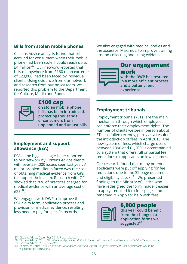### **Bills from stolen mobile phones**

Citizens Advice analysis found that bills accrued for consumers when their mobile phone had been stolen, could reach up to £4 million37. Our network reported that bills of anywhere from £160 to an extreme of £23,000, had been faced by individual clients. Using evidence from our network and research from our policy team, we reported this problem to the Department for Culture, Media and Sport.



## **£100 cap**

**on stolen mobile phone bills has been introduced, protecting thousands of consumers from unplanned and unjust bills**

#### **Employment and support allowance (ESA)**

ESA is the biggest single issue reported to our network by Citizens Advice clients, with over 294,000 issues seen last year. A major problem clients faced was the cost of obtaining medical evidence from GPs to support their claim. Research with GPs showed that 76% of practices charged for medical evidence with an average cost of £25<sup>38</sup>

We engaged with DWP to improve the ESA claim form, application process and provision of medical evidence, resulting in less need to pay for specific records.

We also engaged with medical bodies and the assessor, Maximus, to improve training around collecting and using evidence.



### **Employment tribunals**

Employment tribunals (ETs) are the main mechanism through which employees can enforce their employment rights. The number of clients we see in person about ETs has fallen recently, partly as a result of the introduction of fees in April 2013. The new system of fees, which charge users between £390 and £1,200, is accompanied by a system that offers full or partial fee reductions to applicants on low incomes.

Our research found that many potential applicants were put off applying for fee reductions due to the 32 page document and eligibility checks $^{39}$ . We presented findings to the Ministry of Justice who have redesigned the form, made it easier to apply, reduced it to four pages and renamed it 'Apply for help with fees'.



**6,000 people this year could benefit from the changes to application forms we suggested<sup>40</sup>**

37 Citizens Advice, December 2014. Press release.

- 
- 40 Ministry of Justice. (2013) *Court and Tribunal Fee Remission Reform Impact Assessment*: 31% of claimants would be eligible for fee remissions.

<sup>38</sup> Citizens Advice. (2014) *GP attitude and practices relating to the provision of medical evidence as part of the ESA claim process.* 39 Citizens Advice. (2015) *Fairer fees.*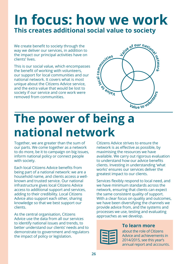## **In focus: how we work This creates additional social value to society**

We create benefit to society through the way we deliver our services, in addition to the impact our principal activities have on clients' lives.

This is our social value, which encompasses the benefit of working with volunteers, our support for local communities and our national network. It covers what is most unique about the Citizens Advice service, and the extra value that would be lost to society if our service and core work were removed from communities.



## **The power of being a national network**

Together, we are greater than the sum of our parts. We come together as a network to do more, be it to campaign on big issues, inform national policy or connect people with society.

Each local Citizens Advice benefits from being part of a national network: we are a household name, and clients access a wellknown and trusted service. Our national infrastructure gives local Citizens Advice access to additional support and services, adding to their credibility. Local Citizens Advice also support each other, sharing knowledge so that we best support our clients.

As the central organisation, Citizens Advice use the data from all our services to identify national issues and trends, to better understand our clients' needs and to demonstrate to government and regulators the impact of policy or legislation.

Citizens Advice strives to ensure the network is as effective as possible, by maximising the resources we have available. We carry out rigorous evaluation to understand how our advice benefits clients. Investing in understanding 'what works' ensures our services deliver the greatest impact to our clients.

Services flexibly respond to local need, and we have minimum standards across the network, ensuring that clients can expect the same consistent quality of support. With a clear focus on quality and outcomes, we have been diversifying the channels we provide advice from, and the systems and processes we use, testing and evaluating approaches as we develop.

## **To learn more**

about the role of Citizens Advice and achievements in 2014/2015, see this year's annual report and accounts.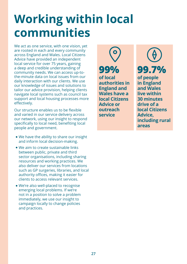## **Working within local communities**

We act as one service, with one vision, yet are rooted in each and every community across England and Wales. Local Citizens Advice have provided an independent local service for over 75 years, gaining a deep and credible understanding of community needs. We can access up-tothe-minute data on local issues from our daily interaction with our clients. We use our knowledge of issues and solutions to tailor our advice provision, helping clients navigate local systems such as council tax support and local housing processes more effectively.

Our structure enables us to be flexible and varied in our service delivery across our network, using our insight to respond specifically to local need, benefiting local people and government.

- We have the ability to share our insight and inform local decision-making.
- We aim to create sustainable links between public, private and third sector organisations, including sharing resources and working practices. We also deliver our services from locations such as GP surgeries, libraries, and local authority offices, making it easier for clients to access relevant services.
- We're also well-placed to recognise emerging local problems. If we're not in a position to solve a problem immediately, we use our insight to campaign locally to change policies and practices.

**99% of local authorities in England and Wales have a local Citizens Advice or outreach service**

**99.7% of people in England and Wales live within 30 minutes drive of a local Citizens Advice, including rural areas**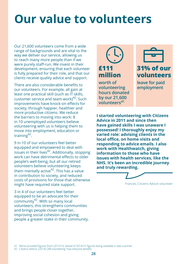## **Our value to volunteers**

Our 21,600 volunteers come from a wide range of backgrounds and are vital to the way we deliver our service, allowing us to reach many more people than if we were purely staff-run. We invest in their development, ensuring that each volunteer is fully prepared for their role, and that our clients receive quality advice and support.

There are also considerable benefits to our volunteers. For example, all gain at least one practical skill (such as IT skills, customer service and team-work $142$ . Such improvements have knock-on effects for society, through happier, healthier and more productive citizens. We reduce the barriers to moving into work: 8 in 10 unemployed volunteers believe volunteering with us is helping them to move into employment, education or training42.

9 in 10 of our volunteers feel better equipped and empowered to deal with issues in their lives $42$ . Additionally, stopping work can have detrimental effects to older people's well-being, but all our retired volunteers believe volunteering keeps them mentally active<sup>42</sup>. This has a value in contribution to society, and reduced costs of provisions for those that otherwise might have required state support.

3 in 4 of our volunteers feel better equipped to be an advocate for their community $42$ . With so many local volunteers, this strengthens communities and brings people closer together, improving social cohesion and giving people a greater stake in their community.



**worth of volunteering hours donated by our 21,600 volunteers<sup>41</sup>**



**leave for paid employment**

**I started volunteering with Citizens Advice in 2011 and since then have gained skills I was unaware I possessed! I thoroughly enjoy my varied role: advising clients in the local office, on home visits and responding to advice emails. I also work with Healthwatch, giving information to those who have issues with health services, like the NHS. It's been an incredible journey and truly rewarding.**



Frances, Citizens Advice volunteer

41 We've provided figures from 2013/14, ahead of 2014/15 figures being available in late summer.

42 Citizens Advice. (2014) *CAB volunteering: how everyone benefits.*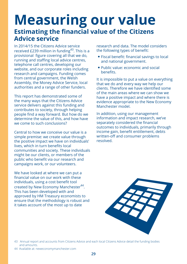## **Measuring our value Estimating the financial value of the Citizens Advice service**

In 2014/15 the Citizens Advice service received £239 million in funding<sup>43</sup>. This is a provisional figure covering all that we do, running and staffing local advice centres, telephone call centres, developing our website, and our corporate roles including research and campaigns. Funding comes from central government, the Welsh Assembly, the Money Advice Service, local authorities and a range of other funders.

This report has demonstrated some of the many ways that the Citizens Advice service delivers against this funding and contributes to society, through helping people find a way forward. But how do we determine the value of this, and how have we come to such conclusions?

Central to how we conceive our value is a simple premise: we create value through the positive impact we have on individuals' lives, which in turn benefits local communities and society. These individuals might be our clients, or members of the public who benefit via our research and campaigns work, or our volunteers.

We have looked at where we can put a financial value on our work with these individuals, using a cost benefit tool created by New Economy Manchester<sup>44</sup>. This has been developed with and approved by HM Treasury economists to ensure that the methodology is robust and it takes account of the most up to date

research and data. The model considers the following types of benefit:

- Fiscal benefit: financial savings to local and national government.
- Public value: economic and social benefits.

It is impossible to put a value on everything that we do and every way we help our clients. Therefore we have identified some of the main areas where we can show we have a positive impact and where there is evidence appropriate to the New Economy Manchester model.

In addition, using our management information and impact research, we've separately considered the financial outcomes to individuals, primarily through income gain, benefit entitlement, debts written-off and consumer problems resolved.



<sup>43</sup> Annual report and accounts from Citizens Advice and each local Citizens Advice detail the funding bodies and amounts.

<sup>44</sup> Available at: neweconomymanchester.com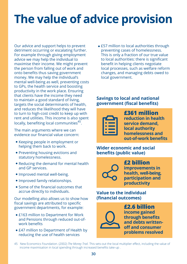## **The value of advice provision**

Our advice and support helps to prevent detriment occurring or escalating further. For example through giving employment advice we may help the individual to maximise their income. We might prevent the person from falling out of work and onto benefits thus saving government money. We may help the individual's mental well-being as well, preventing costs to GPs, the health service and boosting productivity in the work place. Ensuring that clients have the income they need to maintain a good standard of living, targets the social determinants of health, and reduces the likelihood they will have to turn to high-cost credit to keep up with rent and utilities. This income is also spent locally, benefiting local communities<sup>45</sup>.

The main arguments where we can evidence our financial value concern:

- Keeping people in employment or helping them back to work.
- Preventing housing evictions and statutory homelessness.
- Reducing the demand for mental health and GP services.
- Improved mental well-being.
- Improved family relationships.
- Some of the financial outcomes that accrue directly to individuals.

Our modelling also allows us to show how fiscal savings are attributed to specific government departments, for example:

- £163 million to Department for Work and Pensions through reduced out-ofwork benefits
- £47 million to Department of Health by reducing the use of health services

• £57 million to local authorities through preventing cases of homelessness. This is only a fraction of our true value to local authorities: there is significant benefit in helping clients negotiate local processes, such as welfare reform changes, and managing debts owed to local government.

#### **Savings to local and national government (fiscal benefits)**



**£361 million reduction in health service demand, local authority homelessness and out-of-work benefits**

### **Wider economic and social benefits (public value)**



**£2 billion improvements in health, well-being, participation and productivity**

### **Value to the individual (financial outcomes)**



**£2.6 billion income gained through benefits and debts writtenoff and consumer problems resolved**

45 New Economics Foundation. (2002) *The Money Trail.* This sets-out the local multiplier effect, including the value of income maximisation in local spending through increased benefits take-up .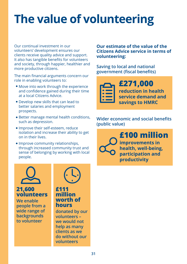## **The value of volunteering**

Our continual investment in our volunteers' development ensures our clients receive quality advice and support. It also has tangible benefits for volunteers and society, through happier, healthier and more productive citizens.

The main financial arguments concern our role in enabling volunteers to:

- Move into work through the experience and confidence gained during their time at a local Citizens Advice.
- Develop new skills that can lead to better salaries and employment prospects.
- Better manage mental health conditions, such as depression.
- Improve their self-esteem, reduce isolation and increase their ability to get on in their lives.
- Improve community relationships, through increased community trust and sense of belonging by working with local people.



**We enable people from a wide range of backgrounds to volunteer**



### **£111 million worth of hours**

**donated by our volunteers – we would not help as many clients as we do without our volunteers**

**Our estimate of the value of the Citizens Advice service in terms of volunteering:**

**Saving to local and national government (fiscal benefits)**



**£271,000 reduction in health service demand and savings to HMRC**

**Wider economic and social benefits (public value)**

> **£100 million improvements in health, well-being, participation and productivity**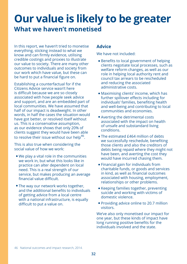## **Our value is likely to be greater What we haven't monetised**

In this report, we haven't tried to monetise everything, sticking instead to what we know and can firmly evidence, utilising credible costings and proxies to illustrate our value to society. There are many other outcomes to individuals and society from our work which have value, but these can be hard to put a financial figure on.

Establishing a counterfactual for if the Citizens Advice service wasn't here is difficult because we are so closely associated with how people seek advice and support, and are an embedded part of local communities. We have assumed that half of our impact is deadweight. In other words, in half the cases the situation would have got better, or resolved itself without us. This is a conservative assumption, as our evidence shows that only 20% of clients suggest they would have been able to resolve their issue without our help<sup>46</sup>.

This is also true when considering the social value of how we work:

- We play a vital role in the communities we work in, but what this looks like in practice can alter dependent on local need. This is a real strength of our service, but makes producing an average financial value difficult.
- The way our network works together, and the additional benefits to individuals of getting advice from a local centre with a national infrastructure, is equally difficult to put a value on.

### **Advice**

We have not included:

- Benefits to local government of helping clients negotiate local processes, such as welfare reform changes, as well as our role in helping local authority rent and council tax arrears to be rescheduled and reducing the associated administrative costs.
- Maximising clients' income, which has further spillover effects including for individuals' families, benefiting health and well-being and contributing to local communities and economies.
- Averting the detrimental costs associated with the impact on health of unsafe and substandard living conditions.
- The estimated £464 million of debts we successfully reschedule, benefiting those clients and also the creditors of debts being repaid where they might not have been, and averting the cost they would have incurred chasing them.
- Financial gain for individuals from charitable funds, or goods and services in kind, as well as financial outcomes associated with housing, employment, relationships or other problems.
- Keeping families together, preventing suicide and working with victims of domestic violence.
- Providing advice online to 20.7 million visitors.

We've also only monetised our impact for one year, but these kinds of impact have long running positive benefits for the individuals involved and the state.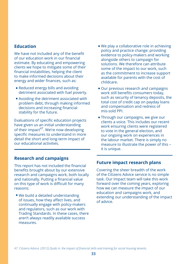#### **Education**

We have not included any of the benefit of our education work in our financial estimate. By educating and empowering clients we hope to mitigate some of their financial instabilities, helping the client to make informed decisions about their energy and wider finances, such as:

- Reduced energy bills and avoiding detriment associated with fuel poverty.
- Avoiding the detriment associated with problem debt, through making informed decisions and increasing financial stability for the future.

Evaluations of specific education projects have given us an initial understanding of their impact<sup>47</sup>. We're now developing specific measures to understand in more detail the short and long-term impact of our educational activities.

#### **Research and campaigns**

This report has not included the financial benefits brought about by our extensive research and campaigns work, both locally and nationally. Putting a financial value on this type of work is difficult for many reasons:

We build a detailed understanding of issues, how they affect lives, and continually engage with policy-makers and regulators, such as our work with Trading Standards. In these cases, there aren't always readily available success measures.

- We play a collaborative role in achieving policy and practice change: providing evidence to policy-makers and working alongside others to campaign for solutions. We therefore can attribute some of the impact to our work, such as the commitment to increase support available for parents with the cost of childcare.
- Our previous research and campaigns work still benefits consumers today, such as security of tenancy deposits, the total cost of credit cap on payday loans and compensation and redress of mis-sold PPI.
- Through our campaigns, we give our clients a voice. This includes our recent work ensuring clients were registered to vote in the general election, and our ongoing work on experiences in the labour market. There is simply no measure to illustrate the power of this – it is unique.

#### **Future impact research plans**

Covering the sheer breadth of the work of the Citizens Advice service is no simple task. Our Impact team will take this work forward over the coming years, exploring how we can measure the impact of our education and campaigns work, and extending our understanding of the impact of advice.

<sup>47</sup> Citizens Advice. (2012) *Quids in: the impact of financial skills and training for social housing tenants.*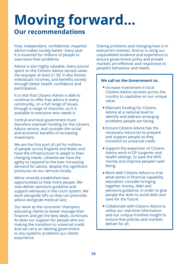## **Moving forward... Our recommendations**

Free, independent, confidential, impartial advice makes society better. Every year it is essential for millions of people to overcome their problems.

Advice is also highly valuable. Every pound spent on the Citizens Advice service saves the taxpayer at least £1.50. It also boosts individuals' incomes, and benefits society through better health, confidence and participation.

It is vital that Citizens Advice is able to continue to offer free advice in every community, on a full range of issues, through a range of channels, so it is available to everyone who needs it.

Central and local government must therefore maintain funding for the Citizens Advice service, and consider the social and economic benefits of increasing investment.

We are the first port of call for millions of people across England and Wales and have the infrastructure to adapt to their changing needs. Likewise we have the agility to respond to the ever increasing demand for advice, despite the significant pressures on our services locally.

We've recently established new opportunities to help more people. We now deliver pensions guidance and support witnesses in the court system. We work alongside GPs so they can prescribe advice alongside medical care.

Our work as the consumer champion, educating clients to better manage their finances and get the best deals, continues. As does our support for people who are making the transition to universal credit. And we carry on alerting government to any systemic problems our clients experience.

Solving problems and changing lives is in everyone's interest. And so is using our unparalleled evidence and experience to ensure government policy and private markets are effective and responsive to people's behaviour and needs.

#### **We call on the Government to:**

- Increase investment in local Citizens Advice services across the country to capitalise on our unique value.
- Maintain funding for Citizens Advice at a national level to identify and address emerging problems people are facing.
- Ensure Citizens Advice has the necessary resources to prepare and support people as they transition to universal credit.
- Support the expansion of Citizens Advice work in GP surgeries and health settings, to save the NHS money and improve people's wellbeing.
- Work with Citizens Advice to trial what works in financial capability education: consider bringing together money, debt and pensions guidance, in order to give people the skills to avoid debt and save for the future.
- Collaborate with Citizens Advice to utilise our real-time information and our unique frontline insight to ensure that policies and markets deliver for all.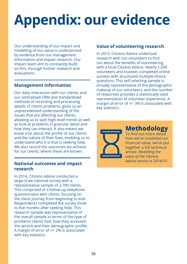# **Appendix: our evidence**

Our understanding of our impact and modelling of our value is underpinned by evidence from our management information and impact research. Our Impact team aim to constantly build on this, through further research and evaluations.

## **Management information**

Our daily interaction with our clients, and our centralised CRM and standardised methods of recording and processing details of clients problems, gives us an unprecedented understanding of the issues that are affecting our clients, allowing us to spot high-level trends as well as look at problems in granular detail and how they can interact. It also means we know a lot about the profile of our clients and the nature of their lives, enabling us to understand who it is that is seeking help. We also record the outcomes we achieve for our clients, where these are known.

### **National outcomes and impact research**

In 2014, Citizens Advice conducted a large-scale national survey with a representative sample of 2,700 clients. This comprised of a follow-up telephone questionnaire with clients, focusing on the client journey from beginning to end. Respondents completed the survey three to five months after seeking help. This research sample was representative of the overall sample in terms of the type of problems clients had, how they accessed the service and their demographic profile. A margin of error of +/- 2% is associated with key statistics.

## **Value of volunteering research**

In 2013, Citizens Advice undertook research with our volunteers to find out about the benefits of volunteering with a local Citizens Advice. Nearly 1,500 volunteers and trustees completed online surveys with structured multiple-choice questions. This self-selecting sample is broadly representative of the demographic makeup of our volunteers, and the number of responses provides a statistically-valid representation of volunteer experience. A margin of error of +/- 3% is associated with key statistics.



## **Methodology**

To find out more about how we've modelled our financial value, we've put together a full technical annex: *Modelling the value of the Citizens Advice service in 2014/15*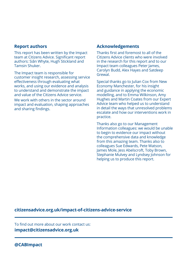#### **Report authors**

This report has been written by the Impact team at Citizens Advice. Significant report authors: Siân Whyte, Hugh Stickland and Tamsin Shuker.

The Impact team is responsible for customer insight research, assessing service effectiveness through evaluating what works, and using our evidence and analysis to understand and demonstrate the impact and value of the Citizens Advice service.

We work with others in the sector around impact and evaluation, shaping approaches and sharing findings.

### **Acknowledgements**

Thanks first and foremost to all of the Citizens Advice clients who were involved in the research for this report and to our Impact team colleagues Peter James, Carolyn Budd, Alex Hayes and Satdeep Grewal.

Special thanks go to Julian Cox from New Economy Manchester, for his insight and guidance in applying the economic modelling, and to Emma Wilkinson, Amy Hughes and Martin Coates from our Expert Advice team who helped us to understand in detail the ways that unresolved problems escalate and how our interventions work in practice.

Thanks also go to our Management Information colleagues: we would be unable to begin to evidence our impact without the comprehensive data and knowledge from this amazing team. Thanks also to colleagues Sue Edwards, Pete Watson, James Mole, Jess Abelscroft, Toby Brown, Stephanie Mulvey and Lyndsey Johnson for helping us to produce this report.

#### **citizensadvice.org.uk/impact-of-citizens-advice-service**

To find out more about our work contact us: **impact@citizensadvice.org.uk**